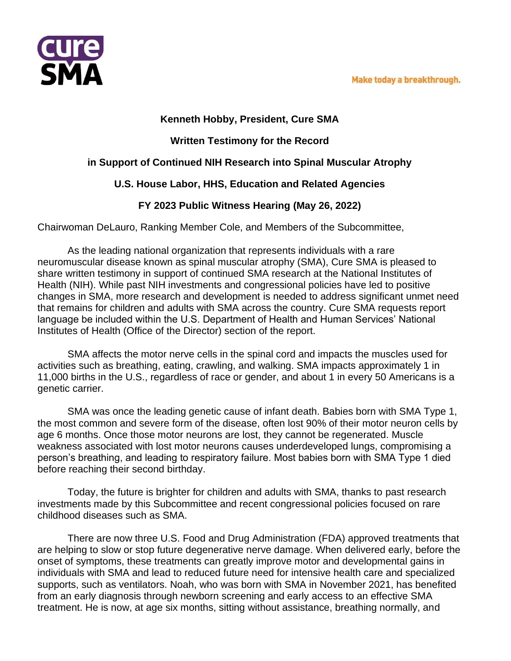

#### **Kenneth Hobby, President, Cure SMA**

# **Written Testimony for the Record**

## **in Support of Continued NIH Research into Spinal Muscular Atrophy**

## **U.S. House Labor, HHS, Education and Related Agencies**

## **FY 2023 Public Witness Hearing (May 26, 2022)**

Chairwoman DeLauro, Ranking Member Cole, and Members of the Subcommittee,

As the leading national organization that represents individuals with a rare neuromuscular disease known as spinal muscular atrophy (SMA), Cure SMA is pleased to share written testimony in support of continued SMA research at the National Institutes of Health (NIH). While past NIH investments and congressional policies have led to positive changes in SMA, more research and development is needed to address significant unmet need that remains for children and adults with SMA across the country. Cure SMA requests report language be included within the U.S. Department of Health and Human Services' National Institutes of Health (Office of the Director) section of the report.

SMA affects the motor nerve cells in the spinal cord and impacts the muscles used for activities such as breathing, eating, crawling, and walking. SMA impacts approximately 1 in 11,000 births in the U.S., regardless of race or gender, and about 1 in every 50 Americans is a genetic carrier.

SMA was once the leading genetic cause of infant death. Babies born with SMA Type 1, the most common and severe form of the disease, often lost 90% of their motor neuron cells by age 6 months. Once those motor neurons are lost, they cannot be regenerated. Muscle weakness associated with lost motor neurons causes underdeveloped lungs, compromising a person's breathing, and leading to respiratory failure. Most babies born with SMA Type 1 died before reaching their second birthday.

Today, the future is brighter for children and adults with SMA, thanks to past research investments made by this Subcommittee and recent congressional policies focused on rare childhood diseases such as SMA.

There are now three U.S. Food and Drug Administration (FDA) approved treatments that are helping to slow or stop future degenerative nerve damage. When delivered early, before the onset of symptoms, these treatments can greatly improve motor and developmental gains in individuals with SMA and lead to reduced future need for intensive health care and specialized supports, such as ventilators. Noah, who was born with SMA in November 2021, has benefited from an early diagnosis through newborn screening and early access to an effective SMA treatment. He is now, at age six months, sitting without assistance, breathing normally, and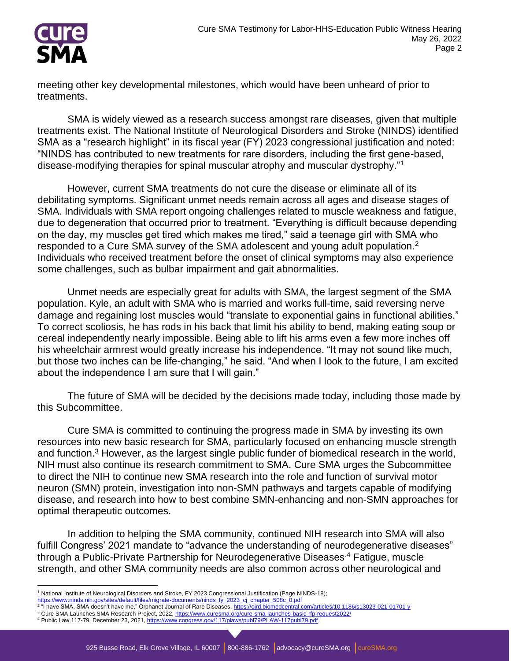

meeting other key developmental milestones, which would have been unheard of prior to treatments.

SMA is widely viewed as a research success amongst rare diseases, given that multiple treatments exist. The National Institute of Neurological Disorders and Stroke (NINDS) identified SMA as a "research highlight" in its fiscal year (FY) 2023 congressional justification and noted: "NINDS has contributed to new treatments for rare disorders, including the first gene-based, disease-modifying therapies for spinal muscular atrophy and muscular dystrophy."<sup>1</sup>

However, current SMA treatments do not cure the disease or eliminate all of its debilitating symptoms. Significant unmet needs remain across all ages and disease stages of SMA. Individuals with SMA report ongoing challenges related to muscle weakness and fatigue, due to degeneration that occurred prior to treatment. "Everything is difficult because depending on the day, my muscles get tired which makes me tired," said a teenage girl with SMA who responded to a Cure SMA survey of the SMA adolescent and young adult population.<sup>2</sup> Individuals who received treatment before the onset of clinical symptoms may also experience some challenges, such as bulbar impairment and gait abnormalities.

Unmet needs are especially great for adults with SMA, the largest segment of the SMA population. Kyle, an adult with SMA who is married and works full-time, said reversing nerve damage and regaining lost muscles would "translate to exponential gains in functional abilities." To correct scoliosis, he has rods in his back that limit his ability to bend, making eating soup or cereal independently nearly impossible. Being able to lift his arms even a few more inches off his wheelchair armrest would greatly increase his independence. "It may not sound like much, but those two inches can be life-changing," he said. "And when I look to the future, I am excited about the independence I am sure that I will gain."

The future of SMA will be decided by the decisions made today, including those made by this Subcommittee.

Cure SMA is committed to continuing the progress made in SMA by investing its own resources into new basic research for SMA, particularly focused on enhancing muscle strength and function.<sup>3</sup> However, as the largest single public funder of biomedical research in the world, NIH must also continue its research commitment to SMA. Cure SMA urges the Subcommittee to direct the NIH to continue new SMA research into the role and function of survival motor neuron (SMN) protein, investigation into non-SMN pathways and targets capable of modifying disease, and research into how to best combine SMN-enhancing and non-SMN approaches for optimal therapeutic outcomes.

In addition to helping the SMA community, continued NIH research into SMA will also fulfill Congress' 2021 mandate to "advance the understanding of neurodegenerative diseases" through a Public-Private Partnership for Neurodegenerative Diseases.<sup>4</sup> Fatigue, muscle strength, and other SMA community needs are also common across other neurological and

<u>[https://www.ninds.nih.gov/sites/default/files/migrate-documents/ninds\\_fy\\_2023\\_cj\\_chapter\\_508c\\_0.pdf](https://www.ninds.nih.gov/sites/default/files/migrate-documents/ninds_fy_2023_cj_chapter_508c_0.pdf)</u><br><sup>2</sup> "I have SMA, SMA doesn't have me," Orphanet Journal of Rare Diseases, <u>https://oird.biomedcentral.com/articles/10.11</u>

<sup>&</sup>lt;sup>1</sup> National Institute of Neurological Disorders and Stroke, FY 2023 Congressional Justification (Page NINDS-18);

<sup>&</sup>lt;sup>3</sup> Cure SMA Launches SMA Research Project, 2022[, https://www.curesma.org/cure-sma-launches-basic-rfp-request2022/](https://www.curesma.org/cure-sma-launches-basic-rfp-request2022/) 4 Public Law 117-79, December 23, 2021[, https://www.congress.gov/117/plaws/publ79/PLAW-117publ79.pdf](https://www.congress.gov/117/plaws/publ79/PLAW-117publ79.pdf)